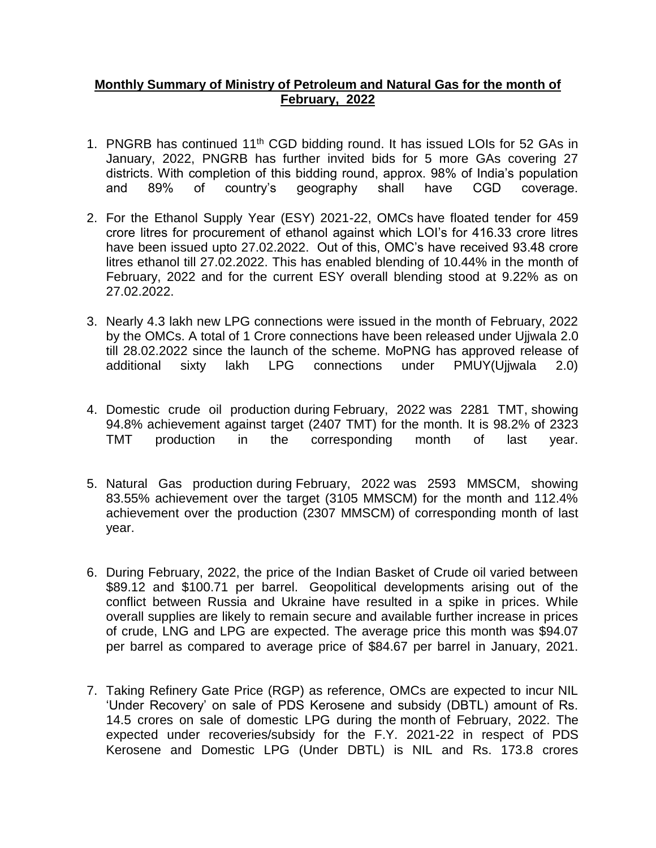## **Monthly Summary of Ministry of Petroleum and Natural Gas for the month of February, 2022**

- 1. PNGRB has continued 11<sup>th</sup> CGD bidding round. It has issued LOIs for 52 GAs in January, 2022, PNGRB has further invited bids for 5 more GAs covering 27 districts. With completion of this bidding round, approx. 98% of India's population and 89% of country's geography shall have CGD coverage.
- 2. For the Ethanol Supply Year (ESY) 2021-22, OMCs have floated tender for 459 crore litres for procurement of ethanol against which LOI's for 416.33 crore litres have been issued upto 27.02.2022. Out of this, OMC's have received 93.48 crore litres ethanol till 27.02.2022. This has enabled blending of 10.44% in the month of February, 2022 and for the current ESY overall blending stood at 9.22% as on 27.02.2022.
- 3. Nearly 4.3 lakh new LPG connections were issued in the month of February, 2022 by the OMCs. A total of 1 Crore connections have been released under Ujjwala 2.0 till 28.02.2022 since the launch of the scheme. MoPNG has approved release of additional sixty lakh LPG connections under PMUY(Ujjwala 2.0)
- 4. Domestic crude oil production during February, 2022 was 2281 TMT, showing 94.8% achievement against target (2407 TMT) for the month. It is 98.2% of 2323 TMT production in the corresponding month of last year.
- 5. Natural Gas production during February, 2022 was 2593 MMSCM, showing 83.55% achievement over the target (3105 MMSCM) for the month and 112.4% achievement over the production (2307 MMSCM) of corresponding month of last year.
- 6. During February, 2022, the price of the Indian Basket of Crude oil varied between \$89.12 and \$100.71 per barrel. Geopolitical developments arising out of the conflict between Russia and Ukraine have resulted in a spike in prices. While overall supplies are likely to remain secure and available further increase in prices of crude, LNG and LPG are expected. The average price this month was \$94.07 per barrel as compared to average price of \$84.67 per barrel in January, 2021.
- 7. Taking Refinery Gate Price (RGP) as reference, OMCs are expected to incur NIL 'Under Recovery' on sale of PDS Kerosene and subsidy (DBTL) amount of Rs. 14.5 crores on sale of domestic LPG during the month of February, 2022. The expected under recoveries/subsidy for the F.Y. 2021-22 in respect of PDS Kerosene and Domestic LPG (Under DBTL) is NIL and Rs. 173.8 crores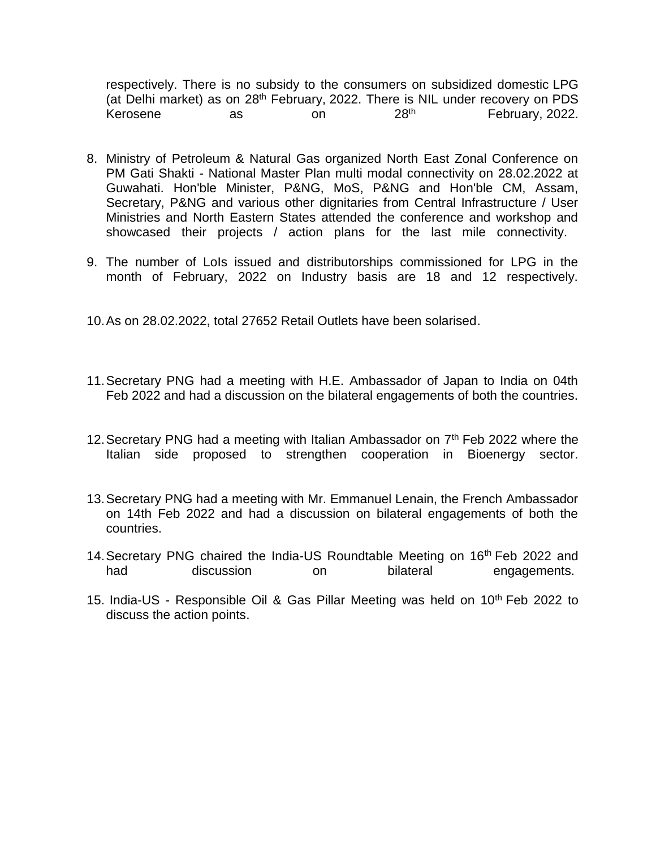respectively. There is no subsidy to the consumers on subsidized domestic LPG (at Delhi market) as on 28<sup>th</sup> February, 2022. There is NIL under recovery on PDS<br>Kerosene as on 28<sup>th</sup> 28<sup>th</sup> February, 2022. Kerosene as on 28<sup>th</sup> February, 2022.

- 8. Ministry of Petroleum & Natural Gas organized North East Zonal Conference on PM Gati Shakti - National Master Plan multi modal connectivity on 28.02.2022 at Guwahati. Hon'ble Minister, P&NG, MoS, P&NG and Hon'ble CM, Assam, Secretary, P&NG and various other dignitaries from Central Infrastructure / User Ministries and North Eastern States attended the conference and workshop and showcased their projects / action plans for the last mile connectivity.
- 9. The number of LoIs issued and distributorships commissioned for LPG in the month of February, 2022 on Industry basis are 18 and 12 respectively.

10.As on 28.02.2022, total 27652 Retail Outlets have been solarised.

- 11.Secretary PNG had a meeting with H.E. Ambassador of Japan to India on 04th Feb 2022 and had a discussion on the bilateral engagements of both the countries.
- 12. Secretary PNG had a meeting with Italian Ambassador on  $7<sup>th</sup>$  Feb 2022 where the Italian side proposed to strengthen cooperation in Bioenergy sector.
- 13.Secretary PNG had a meeting with Mr. Emmanuel Lenain, the French Ambassador on 14th Feb 2022 and had a discussion on bilateral engagements of both the countries.
- 14. Secretary PNG chaired the India-US Roundtable Meeting on 16<sup>th</sup> Feb 2022 and had discussion on bilateral engagements.
- 15. India-US Responsible Oil & Gas Pillar Meeting was held on 10<sup>th</sup> Feb 2022 to discuss the action points.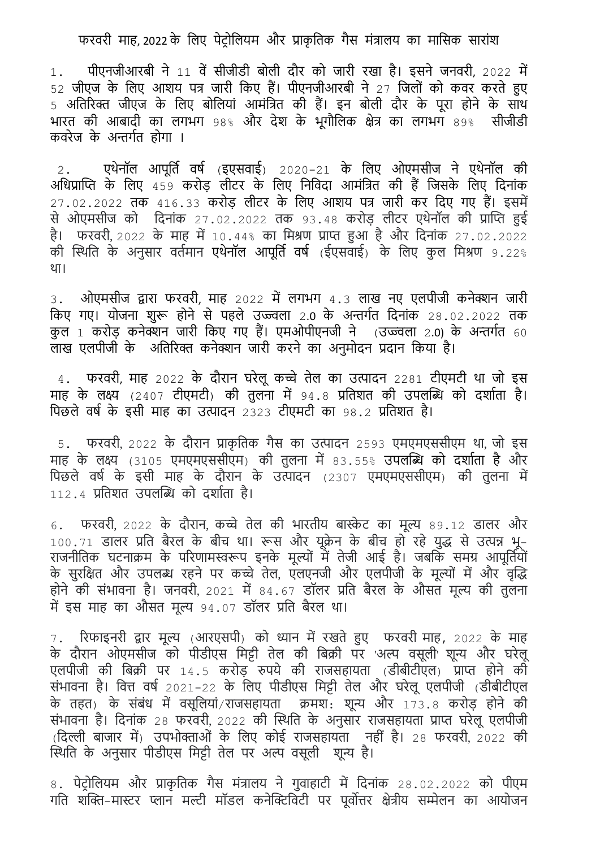## फरवरी माह, 2022 के लिए पेटोलियम और प्राकृतिक गैस मंत्रालय का मासिक सारांश

 $1.$  पीएनजीआरबी ने  $11$  वें सीजीडी बोली दौर को जारी रखा है। इसने जनवरी, 2022 में 52 जीएज के लिए आशय पत्र जारी किए हैं। पीएनजीआरबी ने 27 जिलों को कवर करते हुए 5 अलिररक्त जीएज के लिए बोलियां आमंलत्रि की हैं। इन बोिी दौर के पूरा होने के साथ भारि की आबादी का िगभग 98% और देश के भूगौलिक क्षेत्र का िगभग 89% सीजीडी कवरेज के अन्तगगि होगा ।

2. पथेनॉल आपूर्ति वर्ष (इएसवाई) 2020-21 के लिए ओएमसीज ने एथेनॉल की अधिप्राप्ति के लिए 459 करोड़ लीटर के लिए निविदा आमंत्रित की हैं जिसके लिए दिनांक 27.02.2022 िक 416.33 करोड़ िीट्र के लिए आशय पत्र जारी कर लदए गए हैं। इसमें से ओएमसीज को ंदिनांक 27.02.2022 तक 93.48 करोड़ लीटर एथेनॉल की प्राप्ति हुई है। फरवरी, 2022 के माह में 10.44% का मिश्रण प्राप्त हुआ है और दिनांक 27.02.2022 की स्थिति के अनुसार वर्तमान एथेनॉल आपूर्ति वर्ष (ईएसवाई) के लिए कुल मिश्रण 9.22% था।

 $3.$  ओएमसीज द्वारा फरवरी, माह 2022 में लगभग 4.3 लाख नए एलपीजी कनेक्शन जारी किए गए। योजना शुरू होने से पहले उज्ज्वला 2.0 के अन्तर्गत दिनांक 28.02.2022 तक कु ि 1 करोड़ कनेक्शन जारी लकए गए हैं। एमओपीएनजी ने (उज्ज्विा 2.0) के अन्तगगि 60 िाख एिपीजी के अलिररक्त कनेक्शन जारी करने का अनुमोदन प्रदान लकया है।

4. फरवरी, माह 2022 के दौरान घरेलू कच्चे तेल का उत्पादन 2281 टीएमटी था जो इस माह के लक्ष्य (2407 टीएमटी) की तुलना में 94.8 प्रतिशत की उपलब्धि को दर्शाता है। पिछले वर्ष के इसी माह का उत्पादन 2323 टीएमटी का 98.2 प्रतिशत है।

5. फरवरी, 2022 के दौरान प्राकृ लिक गैस का उत्पादन 2593 एमएमएससीएम था, जो इस माह के लक्ष्य (3105 एमएमएससीएम) की तुलना में 83.55% उपलब्धि को दर्शाता है और पिछले वर्ष के इसी माह के दौरान के उत्पादन (2307 एमएमएससीएम) की तुलना में  $112.4$  प्रतिशत उपलब्धि को दर्शाता है।

6. फरवरी, 2022 के दौरान, कच्चे तेल की भारतीय बास्केट का मूल्य 89.12 डालर और 100.71 डालर प्रति बैरल के बीच था। रूस और यूक्रेन के बीच हो रहे युद्ध से उत्पन्न भू-राजनीतिक घटनाक्रम के परिणामस्वरूप इनके मूल्यों में तेजी आई है। जबकि समग्र आपूर्तियों का मात्र के महाना में मात्र में सुरक्षित करने हैं। मैं इस मात्र का का सुरक्षित और नाम के मूल्यों में और वृद्धि<br>के सुरक्षित और उपलब्ध रहने पर कच्चे तेल, एलएनजी और एलपीजी के मूल्यों में और वृद्धि होने की संभावना है। जनवरी, 2021 में 84.67 डॉलर प्रति बैरल के औसत मूल्य की तुलना में इस माह का औसत मूल्य 94.07 डॉलर प्रति बैरल था।

7. ररफाइनरी द्वार मूल्य (आरएसपी) को ध्यान मेंरखिे हुए फरवरी माह, 2022 के माह के दौरान ओएमसीज को पीडीएस मिट्टी तेल की बिक्री पर 'अल्प वसूली' शून्य और घरेलू एलपीजी की बिक्री पर 14.5 करोड़ रुपये की राजसहायता (डीबीटीएल) प्राप्त होने की संभावना है। वित्त वर्ष 2021-22 के लिए पीडीएस मिट्टी तेल और घरेलू एलपीजी (डीबीटीएल के तहत) के संबंध में वसूलियां/राजसहायता क्रमश: शून्य और 173.8 करोड़ होने की संभावना है। दिनांक 28 फरवरी, 2022 की स्थिति के अनुसार राजसहायता प्राप्त घरेलू एलपीजी (लदल्ली बाजार में) उपभोक्ताओं के लिए कोई राजसहायिा नही ं है। 28 फरवरी, 2022 की स्थिति के अनुसार पीडीएस मिट्टी तेल पर अल्प वसूली शून्य है।

8. पेट्रोलियम और प्राकृतिक गैस मंत्रालय ने गुवाहाटी में दिनांक 28.02.2022 को पीएम गति शक्ति-मास्टर प्लान मल्टी मॉडल कनेक्टिविटी पर पूर्वोत्तर क्षेत्रीय सम्मेलन का आयोजन